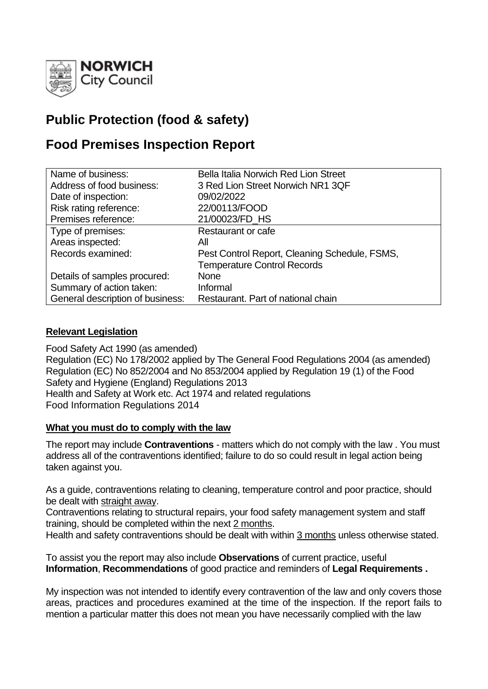

# **Public Protection (food & safety)**

# **Food Premises Inspection Report**

| Name of business:                | <b>Bella Italia Norwich Red Lion Street</b>   |
|----------------------------------|-----------------------------------------------|
| Address of food business:        | 3 Red Lion Street Norwich NR1 3QF             |
| Date of inspection:              | 09/02/2022                                    |
| Risk rating reference:           | 22/00113/FOOD                                 |
| Premises reference:              | 21/00023/FD_HS                                |
| Type of premises:                | Restaurant or cafe                            |
| Areas inspected:                 | All                                           |
| Records examined:                | Pest Control Report, Cleaning Schedule, FSMS, |
|                                  | <b>Temperature Control Records</b>            |
| Details of samples procured:     | <b>None</b>                                   |
| Summary of action taken:         | Informal                                      |
| General description of business: | Restaurant. Part of national chain            |

# **Relevant Legislation**

Food Safety Act 1990 (as amended) Regulation (EC) No 178/2002 applied by The General Food Regulations 2004 (as amended) Regulation (EC) No 852/2004 and No 853/2004 applied by Regulation 19 (1) of the Food Safety and Hygiene (England) Regulations 2013 Health and Safety at Work etc. Act 1974 and related regulations Food Information Regulations 2014

# **What you must do to comply with the law**

The report may include **Contraventions** - matters which do not comply with the law . You must address all of the contraventions identified; failure to do so could result in legal action being taken against you.

As a guide, contraventions relating to cleaning, temperature control and poor practice, should be dealt with straight away.

Contraventions relating to structural repairs, your food safety management system and staff training, should be completed within the next 2 months.

Health and safety contraventions should be dealt with within 3 months unless otherwise stated.

To assist you the report may also include **Observations** of current practice, useful **Information**, **Recommendations** of good practice and reminders of **Legal Requirements .**

My inspection was not intended to identify every contravention of the law and only covers those areas, practices and procedures examined at the time of the inspection. If the report fails to mention a particular matter this does not mean you have necessarily complied with the law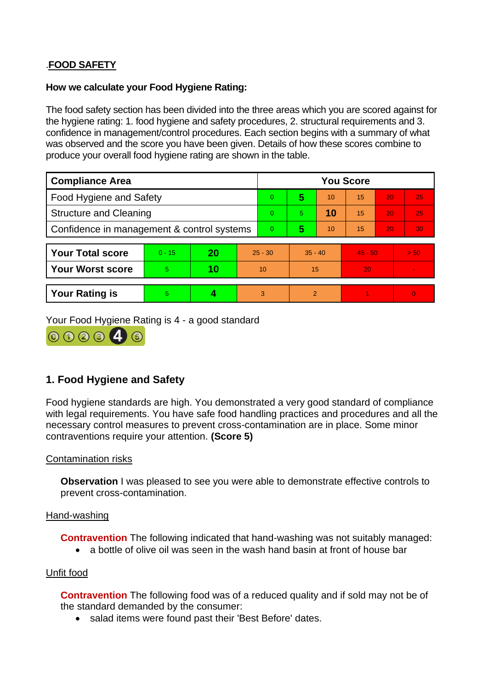# .**FOOD SAFETY**

### **How we calculate your Food Hygiene Rating:**

The food safety section has been divided into the three areas which you are scored against for the hygiene rating: 1. food hygiene and safety procedures, 2. structural requirements and 3. confidence in management/control procedures. Each section begins with a summary of what was observed and the score you have been given. Details of how these scores combine to produce your overall food hygiene rating are shown in the table.

| <b>Compliance Area</b>                     |          |    |           | <b>You Score</b> |           |    |           |    |          |  |  |
|--------------------------------------------|----------|----|-----------|------------------|-----------|----|-----------|----|----------|--|--|
| Food Hygiene and Safety                    |          |    |           | 0                | 5         | 10 | 15        | 20 | 25       |  |  |
| <b>Structure and Cleaning</b>              |          |    |           | 0                | 5.        | 10 | 15        | 20 | 25       |  |  |
| Confidence in management & control systems |          |    | 0         | 5                | 10        | 15 | 20        | 30 |          |  |  |
|                                            |          |    |           |                  |           |    |           |    |          |  |  |
| <b>Your Total score</b>                    | $0 - 15$ | 20 | $25 - 30$ |                  | $35 - 40$ |    | $45 - 50$ |    | > 50.    |  |  |
| <b>Your Worst score</b>                    | 5        | 10 | 10        |                  | 15        |    | 20        |    |          |  |  |
|                                            |          |    |           |                  |           |    |           |    |          |  |  |
| <b>Your Rating is</b>                      | 5        |    |           | 3                | 2         |    |           |    | $\Omega$ |  |  |

Your Food Hygiene Rating is 4 - a good standard



# **1. Food Hygiene and Safety**

Food hygiene standards are high. You demonstrated a very good standard of compliance with legal requirements. You have safe food handling practices and procedures and all the necessary control measures to prevent cross-contamination are in place. Some minor contraventions require your attention. **(Score 5)**

# Contamination risks

**Observation** I was pleased to see you were able to demonstrate effective controls to prevent cross-contamination.

# Hand-washing

**Contravention** The following indicated that hand-washing was not suitably managed:

• a bottle of olive oil was seen in the wash hand basin at front of house bar

#### Unfit food

**Contravention** The following food was of a reduced quality and if sold may not be of the standard demanded by the consumer:

• salad items were found past their 'Best Before' dates.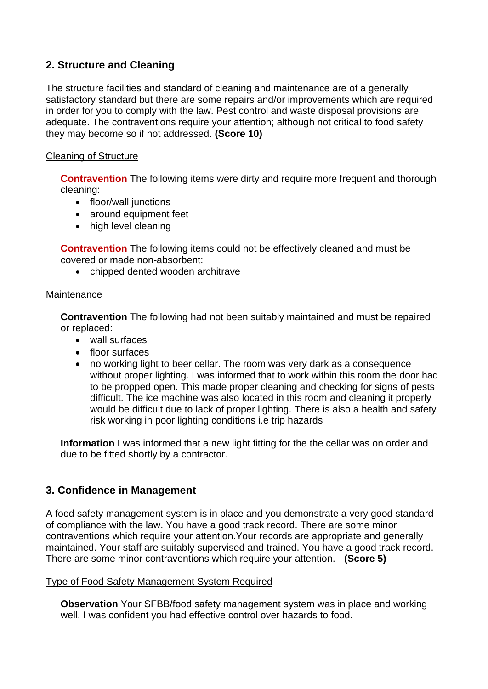# **2. Structure and Cleaning**

The structure facilities and standard of cleaning and maintenance are of a generally satisfactory standard but there are some repairs and/or improvements which are required in order for you to comply with the law. Pest control and waste disposal provisions are adequate. The contraventions require your attention; although not critical to food safety they may become so if not addressed. **(Score 10)**

# Cleaning of Structure

**Contravention** The following items were dirty and require more frequent and thorough cleaning:

- floor/wall junctions
- around equipment feet
- high level cleaning

**Contravention** The following items could not be effectively cleaned and must be covered or made non-absorbent:

• chipped dented wooden architrave

# **Maintenance**

**Contravention** The following had not been suitably maintained and must be repaired or replaced:

- wall surfaces
- floor surfaces
- no working light to beer cellar. The room was very dark as a consequence without proper lighting. I was informed that to work within this room the door had to be propped open. This made proper cleaning and checking for signs of pests difficult. The ice machine was also located in this room and cleaning it properly would be difficult due to lack of proper lighting. There is also a health and safety risk working in poor lighting conditions i.e trip hazards

**Information** I was informed that a new light fitting for the the cellar was on order and due to be fitted shortly by a contractor.

# **3. Confidence in Management**

A food safety management system is in place and you demonstrate a very good standard of compliance with the law. You have a good track record. There are some minor contraventions which require your attention.Your records are appropriate and generally maintained. Your staff are suitably supervised and trained. You have a good track record. There are some minor contraventions which require your attention. **(Score 5)**

# Type of Food Safety Management System Required

**Observation** Your SFBB/food safety management system was in place and working well. I was confident you had effective control over hazards to food.